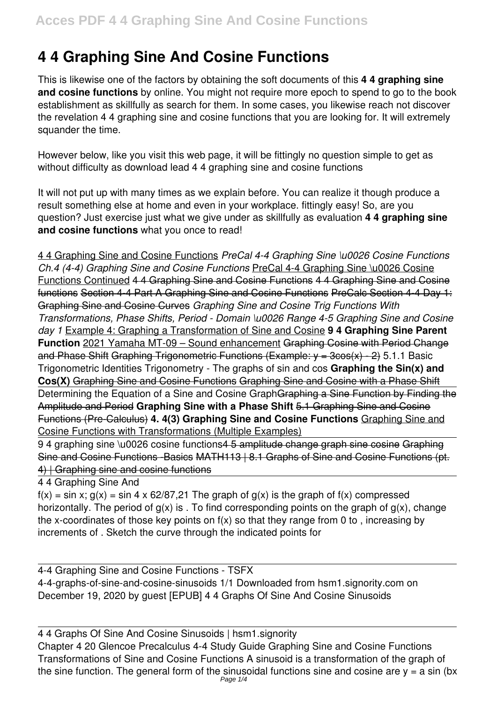# **4 4 Graphing Sine And Cosine Functions**

This is likewise one of the factors by obtaining the soft documents of this **4 4 graphing sine and cosine functions** by online. You might not require more epoch to spend to go to the book establishment as skillfully as search for them. In some cases, you likewise reach not discover the revelation 4 4 graphing sine and cosine functions that you are looking for. It will extremely squander the time.

However below, like you visit this web page, it will be fittingly no question simple to get as without difficulty as download lead 4 4 graphing sine and cosine functions

It will not put up with many times as we explain before. You can realize it though produce a result something else at home and even in your workplace. fittingly easy! So, are you question? Just exercise just what we give under as skillfully as evaluation **4 4 graphing sine and cosine functions** what you once to read!

4 4 Graphing Sine and Cosine Functions *PreCal 4-4 Graphing Sine \u0026 Cosine Functions Ch.4 (4-4) Graphing Sine and Cosine Functions* PreCal 4-4 Graphing Sine \u0026 Cosine Functions Continued 4 4 Graphing Sine and Cosine Functions 4 4 Graphing Sine and Cosine functions Section 4-4 Part A Graphing Sine and Cosine Functions PreCalc Section 4-4 Day 1: Graphing Sine and Cosine Curves *Graphing Sine and Cosine Trig Functions With Transformations, Phase Shifts, Period - Domain \u0026 Range 4-5 Graphing Sine and Cosine day 1* Example 4: Graphing a Transformation of Sine and Cosine **9 4 Graphing Sine Parent Function** 2021 Yamaha MT-09 – Sound enhancement Graphing Cosine with Period Change and Phase Shift Graphing Trigonometric Functions (Example:  $y = 3\cos(x) - 2$ ) 5.1.1 Basic Trigonometric Identities Trigonometry - The graphs of sin and cos **Graphing the Sin(x) and Cos(X)** Graphing Sine and Cosine Functions Graphing Sine and Cosine with a Phase Shift Determining the Equation of a Sine and Cosine GraphGraphing a Sine Function by Finding the Amplitude and Period **Graphing Sine with a Phase Shift** 5.1 Graphing Sine and Cosine Functions (Pre-Calculus) **4. 4(3) Graphing Sine and Cosine Functions** Graphing Sine and Cosine Functions with Transformations (Multiple Examples)

9 4 graphing sine \u0026 cosine functions 4 5 amplitude change graph sine cosine Graphing Sine and Cosine Functions -Basics MATH113 | 8.1 Graphs of Sine and Cosine Functions (pt. 4) | Graphing sine and cosine functions

#### 4 4 Graphing Sine And

 $f(x) = \sin x$ ;  $g(x) = \sin 4 \times 62/87$ , 21 The graph of  $g(x)$  is the graph of  $f(x)$  compressed horizontally. The period of  $q(x)$  is . To find corresponding points on the graph of  $q(x)$ , change the x-coordinates of those key points on  $f(x)$  so that they range from 0 to , increasing by increments of . Sketch the curve through the indicated points for

4-4 Graphing Sine and Cosine Functions - TSFX 4-4-graphs-of-sine-and-cosine-sinusoids 1/1 Downloaded from hsm1.signority.com on December 19, 2020 by guest [EPUB] 4 4 Graphs Of Sine And Cosine Sinusoids

4 4 Graphs Of Sine And Cosine Sinusoids | hsm1.signority Chapter 4 20 Glencoe Precalculus 4-4 Study Guide Graphing Sine and Cosine Functions Transformations of Sine and Cosine Functions A sinusoid is a transformation of the graph of the sine function. The general form of the sinusoidal functions sine and cosine are  $y = a \sin (bx)$ Page 1/4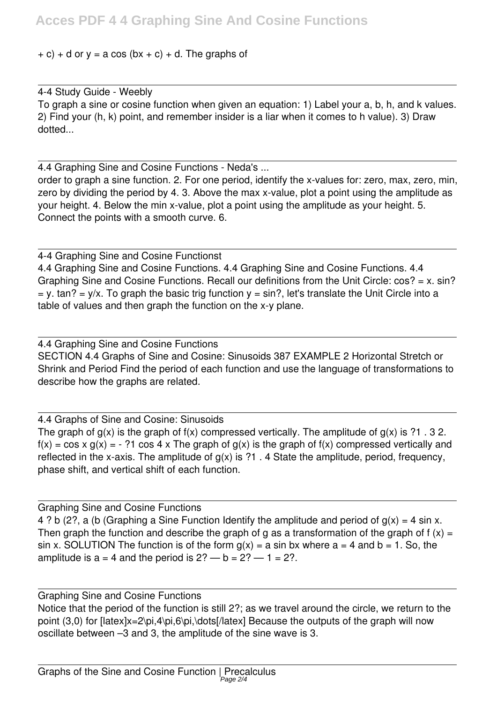### $+ c$ ) + d or y = a cos (bx + c) + d. The graphs of

## 4-4 Study Guide - Weebly

To graph a sine or cosine function when given an equation: 1) Label your a, b, h, and k values. 2) Find your (h, k) point, and remember insider is a liar when it comes to h value). 3) Draw dotted...

4.4 Graphing Sine and Cosine Functions - Neda's ...

order to graph a sine function. 2. For one period, identify the x-values for: zero, max, zero, min, zero by dividing the period by 4. 3. Above the max x-value, plot a point using the amplitude as your height. 4. Below the min x-value, plot a point using the amplitude as your height. 5. Connect the points with a smooth curve. 6.

4-4 Graphing Sine and Cosine Functionst 4.4 Graphing Sine and Cosine Functions. 4.4 Graphing Sine and Cosine Functions. 4.4 Graphing Sine and Cosine Functions. Recall our definitions from the Unit Circle: cos? = x. sin?  $y = y$ . tan? = y/x. To graph the basic trig function  $y = \sin$ ?, let's translate the Unit Circle into a table of values and then graph the function on the x-y plane.

4.4 Graphing Sine and Cosine Functions SECTION 4.4 Graphs of Sine and Cosine: Sinusoids 387 EXAMPLE 2 Horizontal Stretch or Shrink and Period Find the period of each function and use the language of transformations to describe how the graphs are related.

4.4 Graphs of Sine and Cosine: Sinusoids

The graph of  $g(x)$  is the graph of  $f(x)$  compressed vertically. The amplitude of  $g(x)$  is ?1 . 3 2.  $f(x) = \cos x g(x) = -$ ?1 cos 4 x The graph of  $g(x)$  is the graph of  $f(x)$  compressed vertically and reflected in the x-axis. The amplitude of  $g(x)$  is ?1 . 4 State the amplitude, period, frequency, phase shift, and vertical shift of each function.

Graphing Sine and Cosine Functions 4 ? b (2?, a (b (Graphing a Sine Function Identify the amplitude and period of  $g(x) = 4 \sin x$ . Then graph the function and describe the graph of g as a transformation of the graph of f  $(x) =$ sin x. SOLUTION The function is of the form  $q(x) = a \sin bx$  where  $a = 4$  and  $b = 1$ . So, the amplitude is  $a = 4$  and the period is  $2? - b = 2? - 1 = 2?$ .

Graphing Sine and Cosine Functions Notice that the period of the function is still 2?; as we travel around the circle, we return to the point (3,0) for [latex]x=2\pi,4\pi,6\pi,\dots[/latex] Because the outputs of the graph will now oscillate between –3 and 3, the amplitude of the sine wave is 3.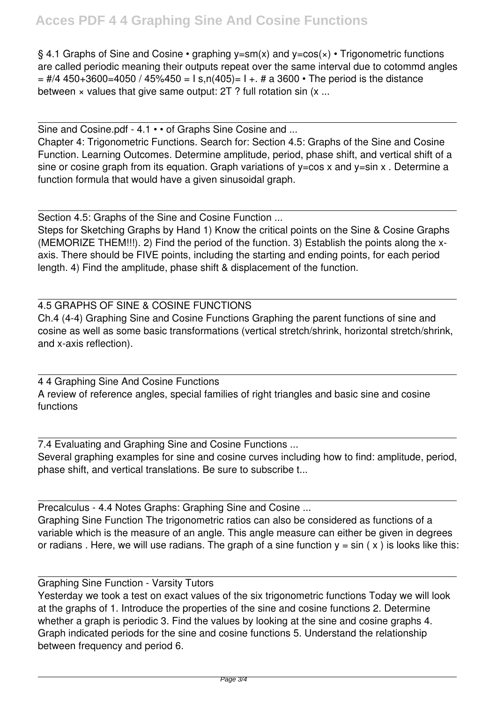§ 4.1 Graphs of Sine and Cosine • graphing  $y=sm(x)$  and  $y=cos(x)$  • Trigonometric functions are called periodic meaning their outputs repeat over the same interval due to cotommd angles  $=$  #/4 450+3600=4050 / 45%450 = I s,n(405)= I +. # a 3600  $\cdot$  The period is the distance between x values that give same output: 2T ? full rotation sin (x ...

Sine and Cosine.pdf - 4.1 • • of Graphs Sine Cosine and ... Chapter 4: Trigonometric Functions. Search for: Section 4.5: Graphs of the Sine and Cosine Function. Learning Outcomes. Determine amplitude, period, phase shift, and vertical shift of a sine or cosine graph from its equation. Graph variations of  $y = cos x$  and  $y = sin x$ . Determine a function formula that would have a given sinusoidal graph.

Section 4.5: Graphs of the Sine and Cosine Function ... Steps for Sketching Graphs by Hand 1) Know the critical points on the Sine & Cosine Graphs (MEMORIZE THEM!!!). 2) Find the period of the function. 3) Establish the points along the xaxis. There should be FIVE points, including the starting and ending points, for each period length. 4) Find the amplitude, phase shift & displacement of the function.

### 4.5 GRAPHS OF SINE & COSINE FUNCTIONS

Ch.4 (4-4) Graphing Sine and Cosine Functions Graphing the parent functions of sine and cosine as well as some basic transformations (vertical stretch/shrink, horizontal stretch/shrink, and x-axis reflection).

4 4 Graphing Sine And Cosine Functions A review of reference angles, special families of right triangles and basic sine and cosine functions

7.4 Evaluating and Graphing Sine and Cosine Functions ... Several graphing examples for sine and cosine curves including how to find: amplitude, period, phase shift, and vertical translations. Be sure to subscribe t...

Precalculus - 4.4 Notes Graphs: Graphing Sine and Cosine ... Graphing Sine Function The trigonometric ratios can also be considered as functions of a variable which is the measure of an angle. This angle measure can either be given in degrees or radians. Here, we will use radians. The graph of a sine function  $y = \sin(x)$  is looks like this:

Graphing Sine Function - Varsity Tutors

Yesterday we took a test on exact values of the six trigonometric functions Today we will look at the graphs of 1. Introduce the properties of the sine and cosine functions 2. Determine whether a graph is periodic 3. Find the values by looking at the sine and cosine graphs 4. Graph indicated periods for the sine and cosine functions 5. Understand the relationship between frequency and period 6.